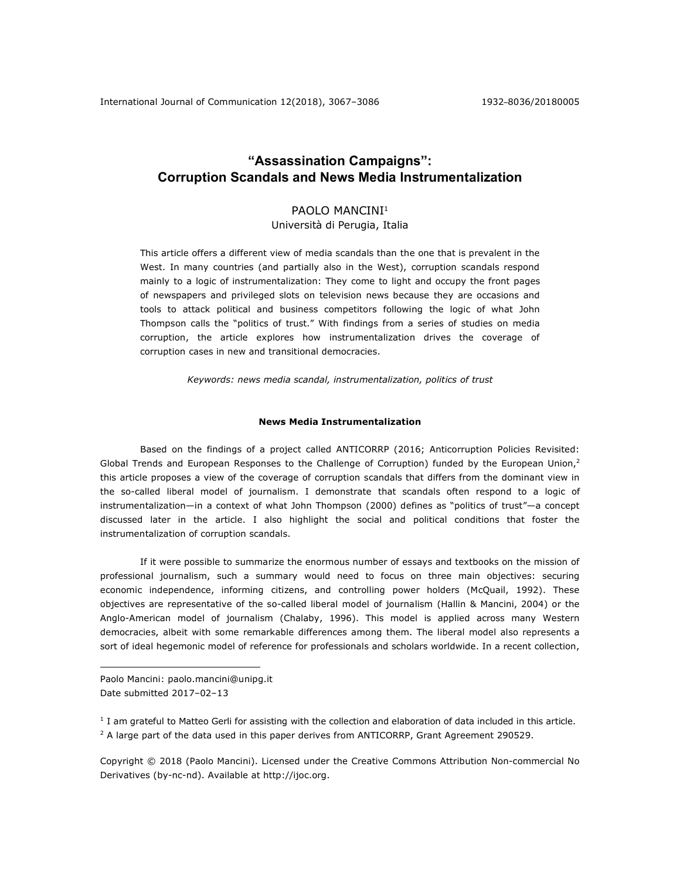# **"Assassination Campaigns": Corruption Scandals and News Media Instrumentalization**

## PAOLO MANCINI<sup>1</sup>

Università di Perugia, Italia

This article offers a different view of media scandals than the one that is prevalent in the West. In many countries (and partially also in the West), corruption scandals respond mainly to a logic of instrumentalization: They come to light and occupy the front pages of newspapers and privileged slots on television news because they are occasions and tools to attack political and business competitors following the logic of what John Thompson calls the "politics of trust." With findings from a series of studies on media corruption, the article explores how instrumentalization drives the coverage of corruption cases in new and transitional democracies.

*Keywords: news media scandal, instrumentalization, politics of trust*

## **News Media Instrumentalization**

Based on the findings of a project called ANTICORRP (2016; Anticorruption Policies Revisited: Global Trends and European Responses to the Challenge of Corruption) funded by the European Union, $2$ this article proposes a view of the coverage of corruption scandals that differs from the dominant view in the so-called liberal model of journalism. I demonstrate that scandals often respond to a logic of instrumentalization—in a context of what John Thompson (2000) defines as "politics of trust"—a concept discussed later in the article. I also highlight the social and political conditions that foster the instrumentalization of corruption scandals.

If it were possible to summarize the enormous number of essays and textbooks on the mission of professional journalism, such a summary would need to focus on three main objectives: securing economic independence, informing citizens, and controlling power holders (McQuail, 1992). These objectives are representative of the so-called liberal model of journalism (Hallin & Mancini, 2004) or the Anglo-American model of journalism (Chalaby, 1996). This model is applied across many Western democracies, albeit with some remarkable differences among them. The liberal model also represents a sort of ideal hegemonic model of reference for professionals and scholars worldwide. In a recent collection,

Paolo Mancini: paolo.mancini@unipg.it Date submitted 2017–02–13

1

 $1$  I am grateful to Matteo Gerli for assisting with the collection and elaboration of data included in this article.  $2$  A large part of the data used in this paper derives from ANTICORRP, Grant Agreement 290529.

Copyright © 2018 (Paolo Mancini). Licensed under the Creative Commons Attribution Non-commercial No Derivatives (by-nc-nd). Available at http://ijoc.org.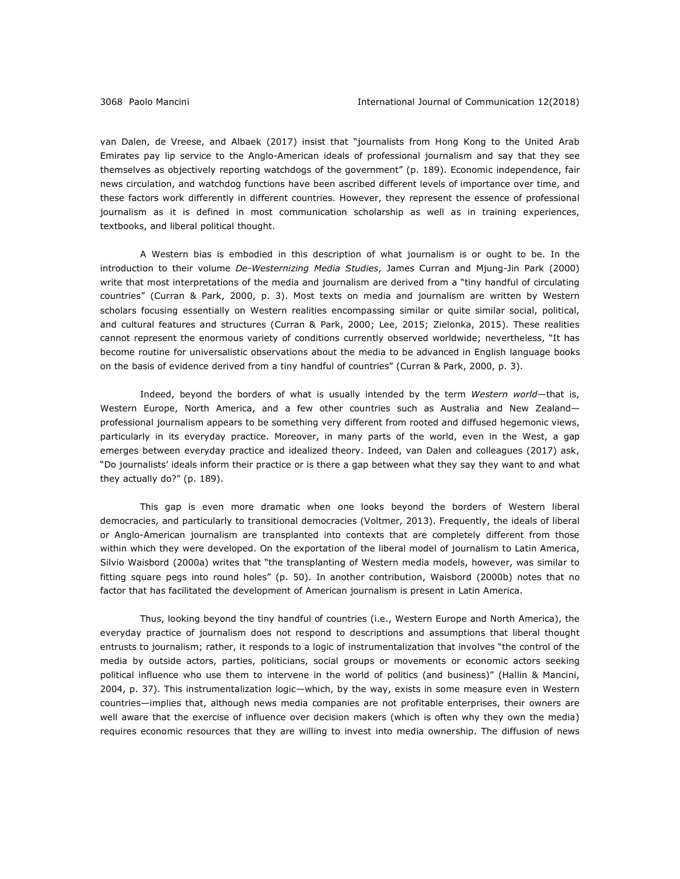van Dalen, de Vreese, and Albaek (2017) insist that "journalists from Hong Kong to the United Arab Emirates pay lip service to the Anglo-American ideals of professional journalism and say that they see themselves as objectively reporting watchdogs of the government" (p. 189). Economic independence, fair news circulation, and watchdog functions have been ascribed different levels of importance over time, and these factors work differently in different countries. However, they represent the essence of professional journalism as it is defined in most communication scholarship as well as in training experiences, textbooks, and liberal political thought.

A Western bias is embodied in this description of what journalism is or ought to be. In the introduction to their volume *De-Westernizing Media Studies*, James Curran and Mjung-Jin Park (2000) write that most interpretations of the media and journalism are derived from a "tiny handful of circulating countries" (Curran & Park, 2000, p. 3). Most texts on media and journalism are written by Western scholars focusing essentially on Western realities encompassing similar or quite similar social, political, and cultural features and structures (Curran & Park, 2000; Lee, 2015; Zielonka, 2015). These realities cannot represent the enormous variety of conditions currently observed worldwide; nevertheless, "It has become routine for universalistic observations about the media to be advanced in English language books on the basis of evidence derived from a tiny handful of countries" (Curran & Park, 2000, p. 3).

Indeed, beyond the borders of what is usually intended by the term *Western world*—that is, Western Europe, North America, and a few other countries such as Australia and New Zealand professional journalism appears to be something very different from rooted and diffused hegemonic views, particularly in its everyday practice. Moreover, in many parts of the world, even in the West, a gap emerges between everyday practice and idealized theory. Indeed, van Dalen and colleagues (2017) ask, "Do journalists' ideals inform their practice or is there a gap between what they say they want to and what they actually do?" (p. 189).

This gap is even more dramatic when one looks beyond the borders of Western liberal democracies, and particularly to transitional democracies (Voltmer, 2013). Frequently, the ideals of liberal or Anglo-American journalism are transplanted into contexts that are completely different from those within which they were developed. On the exportation of the liberal model of journalism to Latin America, Silvio Waisbord (2000a) writes that "the transplanting of Western media models, however, was similar to fitting square pegs into round holes" (p. 50). In another contribution, Waisbord (2000b) notes that no factor that has facilitated the development of American journalism is present in Latin America.

Thus, looking beyond the tiny handful of countries (i.e., Western Europe and North America), the everyday practice of journalism does not respond to descriptions and assumptions that liberal thought entrusts to journalism; rather, it responds to a logic of instrumentalization that involves "the control of the media by outside actors, parties, politicians, social groups or movements or economic actors seeking political influence who use them to intervene in the world of politics (and business)" (Hallin & Mancini, 2004, p. 37). This instrumentalization logic—which, by the way, exists in some measure even in Western countries—implies that, although news media companies are not profitable enterprises, their owners are well aware that the exercise of influence over decision makers (which is often why they own the media) requires economic resources that they are willing to invest into media ownership. The diffusion of news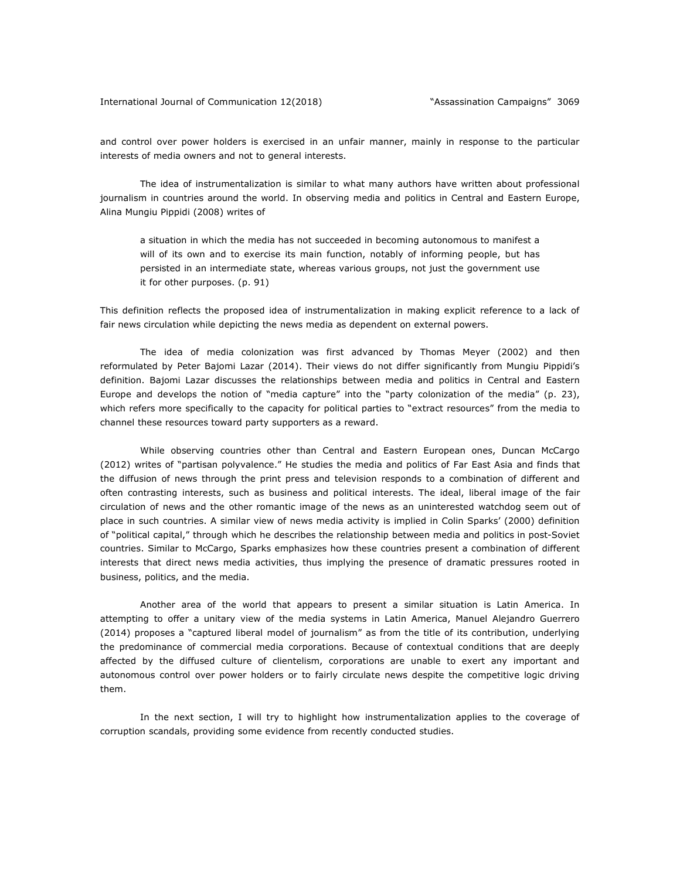and control over power holders is exercised in an unfair manner, mainly in response to the particular interests of media owners and not to general interests.

The idea of instrumentalization is similar to what many authors have written about professional journalism in countries around the world. In observing media and politics in Central and Eastern Europe, Alina Mungiu Pippidi (2008) writes of

a situation in which the media has not succeeded in becoming autonomous to manifest a will of its own and to exercise its main function, notably of informing people, but has persisted in an intermediate state, whereas various groups, not just the government use it for other purposes. (p. 91)

This definition reflects the proposed idea of instrumentalization in making explicit reference to a lack of fair news circulation while depicting the news media as dependent on external powers.

The idea of media colonization was first advanced by Thomas Meyer (2002) and then reformulated by Peter Bajomi Lazar (2014). Their views do not differ significantly from Mungiu Pippidi's definition. Bajomi Lazar discusses the relationships between media and politics in Central and Eastern Europe and develops the notion of "media capture" into the "party colonization of the media" (p. 23), which refers more specifically to the capacity for political parties to "extract resources" from the media to channel these resources toward party supporters as a reward.

While observing countries other than Central and Eastern European ones, Duncan McCargo (2012) writes of "partisan polyvalence." He studies the media and politics of Far East Asia and finds that the diffusion of news through the print press and television responds to a combination of different and often contrasting interests, such as business and political interests. The ideal, liberal image of the fair circulation of news and the other romantic image of the news as an uninterested watchdog seem out of place in such countries. A similar view of news media activity is implied in Colin Sparks' (2000) definition of "political capital," through which he describes the relationship between media and politics in post-Soviet countries. Similar to McCargo, Sparks emphasizes how these countries present a combination of different interests that direct news media activities, thus implying the presence of dramatic pressures rooted in business, politics, and the media.

Another area of the world that appears to present a similar situation is Latin America. In attempting to offer a unitary view of the media systems in Latin America, Manuel Alejandro Guerrero (2014) proposes a "captured liberal model of journalism" as from the title of its contribution, underlying the predominance of commercial media corporations. Because of contextual conditions that are deeply affected by the diffused culture of clientelism, corporations are unable to exert any important and autonomous control over power holders or to fairly circulate news despite the competitive logic driving them.

In the next section, I will try to highlight how instrumentalization applies to the coverage of corruption scandals, providing some evidence from recently conducted studies.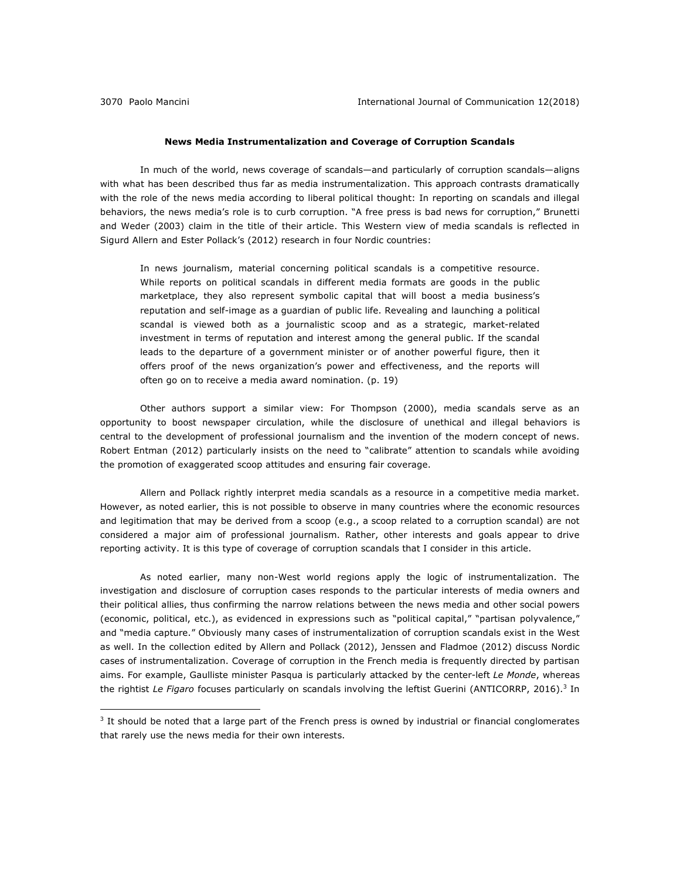#### **News Media Instrumentalization and Coverage of Corruption Scandals**

In much of the world, news coverage of scandals—and particularly of corruption scandals—aligns with what has been described thus far as media instrumentalization. This approach contrasts dramatically with the role of the news media according to liberal political thought: In reporting on scandals and illegal behaviors, the news media's role is to curb corruption. "A free press is bad news for corruption," Brunetti and Weder (2003) claim in the title of their article. This Western view of media scandals is reflected in Sigurd Allern and Ester Pollack's (2012) research in four Nordic countries:

In news journalism, material concerning political scandals is a competitive resource. While reports on political scandals in different media formats are goods in the public marketplace, they also represent symbolic capital that will boost a media business's reputation and self-image as a guardian of public life. Revealing and launching a political scandal is viewed both as a journalistic scoop and as a strategic, market-related investment in terms of reputation and interest among the general public. If the scandal leads to the departure of a government minister or of another powerful figure, then it offers proof of the news organization's power and effectiveness, and the reports will often go on to receive a media award nomination. (p. 19)

Other authors support a similar view: For Thompson (2000), media scandals serve as an opportunity to boost newspaper circulation, while the disclosure of unethical and illegal behaviors is central to the development of professional journalism and the invention of the modern concept of news. Robert Entman (2012) particularly insists on the need to "calibrate" attention to scandals while avoiding the promotion of exaggerated scoop attitudes and ensuring fair coverage.

Allern and Pollack rightly interpret media scandals as a resource in a competitive media market. However, as noted earlier, this is not possible to observe in many countries where the economic resources and legitimation that may be derived from a scoop (e.g., a scoop related to a corruption scandal) are not considered a major aim of professional journalism. Rather, other interests and goals appear to drive reporting activity. It is this type of coverage of corruption scandals that I consider in this article.

As noted earlier, many non-West world regions apply the logic of instrumentalization. The investigation and disclosure of corruption cases responds to the particular interests of media owners and their political allies, thus confirming the narrow relations between the news media and other social powers (economic, political, etc.), as evidenced in expressions such as "political capital," "partisan polyvalence," and "media capture." Obviously many cases of instrumentalization of corruption scandals exist in the West as well. In the collection edited by Allern and Pollack (2012), Jenssen and Fladmoe (2012) discuss Nordic cases of instrumentalization. Coverage of corruption in the French media is frequently directed by partisan aims. For example, Gaulliste minister Pasqua is particularly attacked by the center-left *Le Monde*, whereas the rightist Le Figaro focuses particularly on scandals involving the leftist Guerini (ANTICORRP, 2016).<sup>3</sup> In

 $3$  It should be noted that a large part of the French press is owned by industrial or financial conglomerates that rarely use the news media for their own interests.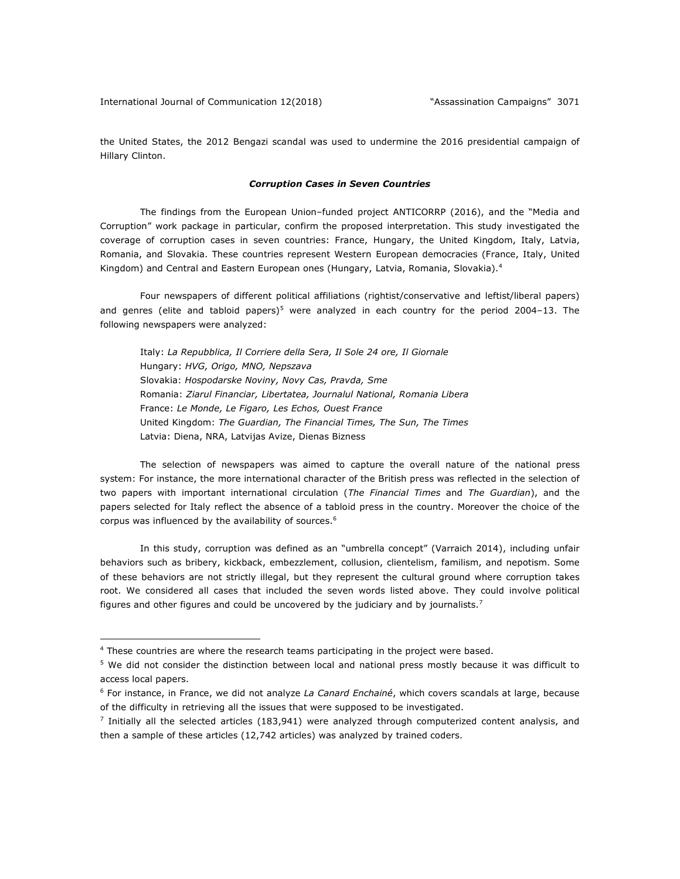the United States, the 2012 Bengazi scandal was used to undermine the 2016 presidential campaign of Hillary Clinton.

#### *Corruption Cases in Seven Countries*

The findings from the European Union–funded project ANTICORRP (2016), and the "Media and Corruption" work package in particular, confirm the proposed interpretation. This study investigated the coverage of corruption cases in seven countries: France, Hungary, the United Kingdom, Italy, Latvia, Romania, and Slovakia. These countries represent Western European democracies (France, Italy, United Kingdom) and Central and Eastern European ones (Hungary, Latvia, Romania, Slovakia).<sup>4</sup>

Four newspapers of different political affiliations (rightist/conservative and leftist/liberal papers) and genres (elite and tabloid papers)<sup>5</sup> were analyzed in each country for the period 2004–13. The following newspapers were analyzed:

Italy: *La Repubblica, Il Corriere della Sera, Il Sole 24 ore, Il Giornale* Hungary: *HVG, Origo, MNO, Nepszava* Slovakia: *Hospodarske Noviny, Novy Cas, Pravda, Sme* Romania: *Ziarul Financiar, Libertatea, Journalul National, Romania Libera* France: *Le Monde, Le Figaro, Les Echos, Ouest France* United Kingdom: *The Guardian, The Financial Times, The Sun, The Times* Latvia: Diena, NRA, Latvijas Avize, Dienas Bizness

The selection of newspapers was aimed to capture the overall nature of the national press system: For instance, the more international character of the British press was reflected in the selection of two papers with important international circulation (*The Financial Times* and *The Guardian*), and the papers selected for Italy reflect the absence of a tabloid press in the country. Moreover the choice of the corpus was influenced by the availability of sources.<sup>6</sup>

In this study, corruption was defined as an "umbrella concept" (Varraich 2014), including unfair behaviors such as bribery, kickback, embezzlement, collusion, clientelism, familism, and nepotism. Some of these behaviors are not strictly illegal, but they represent the cultural ground where corruption takes root. We considered all cases that included the seven words listed above. They could involve political figures and other figures and could be uncovered by the judiciary and by journalists.<sup>7</sup>

<u>.</u>

<sup>&</sup>lt;sup>4</sup> These countries are where the research teams participating in the project were based.

<sup>5</sup> We did not consider the distinction between local and national press mostly because it was difficult to access local papers.

<sup>6</sup> For instance, in France, we did not analyze *La Canard Enchainé*, which covers scandals at large, because of the difficulty in retrieving all the issues that were supposed to be investigated.

 $<sup>7</sup>$  Initially all the selected articles (183,941) were analyzed through computerized content analysis, and</sup> then a sample of these articles (12,742 articles) was analyzed by trained coders.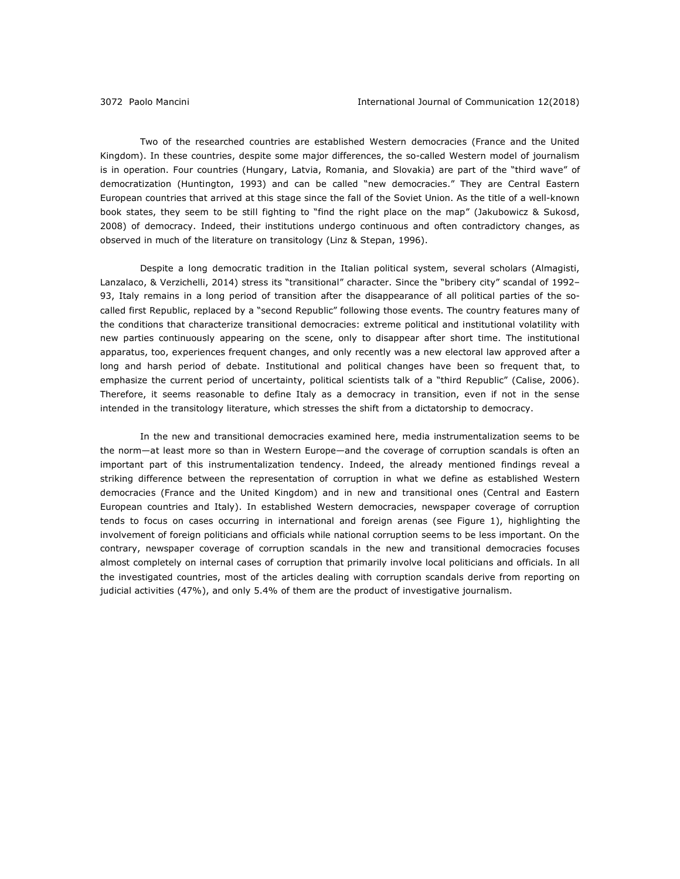Two of the researched countries are established Western democracies (France and the United Kingdom). In these countries, despite some major differences, the so-called Western model of journalism is in operation. Four countries (Hungary, Latvia, Romania, and Slovakia) are part of the "third wave" of democratization (Huntington, 1993) and can be called "new democracies." They are Central Eastern European countries that arrived at this stage since the fall of the Soviet Union. As the title of a well-known book states, they seem to be still fighting to "find the right place on the map" (Jakubowicz & Sukosd, 2008) of democracy. Indeed, their institutions undergo continuous and often contradictory changes, as observed in much of the literature on transitology (Linz & Stepan, 1996).

Despite a long democratic tradition in the Italian political system, several scholars (Almagisti, Lanzalaco, & Verzichelli, 2014) stress its "transitional" character. Since the "bribery city" scandal of 1992– 93, Italy remains in a long period of transition after the disappearance of all political parties of the socalled first Republic, replaced by a "second Republic" following those events. The country features many of the conditions that characterize transitional democracies: extreme political and institutional volatility with new parties continuously appearing on the scene, only to disappear after short time. The institutional apparatus, too, experiences frequent changes, and only recently was a new electoral law approved after a long and harsh period of debate. Institutional and political changes have been so frequent that, to emphasize the current period of uncertainty, political scientists talk of a "third Republic" (Calise, 2006). Therefore, it seems reasonable to define Italy as a democracy in transition, even if not in the sense intended in the transitology literature, which stresses the shift from a dictatorship to democracy.

In the new and transitional democracies examined here, media instrumentalization seems to be the norm—at least more so than in Western Europe—and the coverage of corruption scandals is often an important part of this instrumentalization tendency. Indeed, the already mentioned findings reveal a striking difference between the representation of corruption in what we define as established Western democracies (France and the United Kingdom) and in new and transitional ones (Central and Eastern European countries and Italy). In established Western democracies, newspaper coverage of corruption tends to focus on cases occurring in international and foreign arenas (see Figure 1), highlighting the involvement of foreign politicians and officials while national corruption seems to be less important. On the contrary, newspaper coverage of corruption scandals in the new and transitional democracies focuses almost completely on internal cases of corruption that primarily involve local politicians and officials. In all the investigated countries, most of the articles dealing with corruption scandals derive from reporting on judicial activities (47%), and only 5.4% of them are the product of investigative journalism.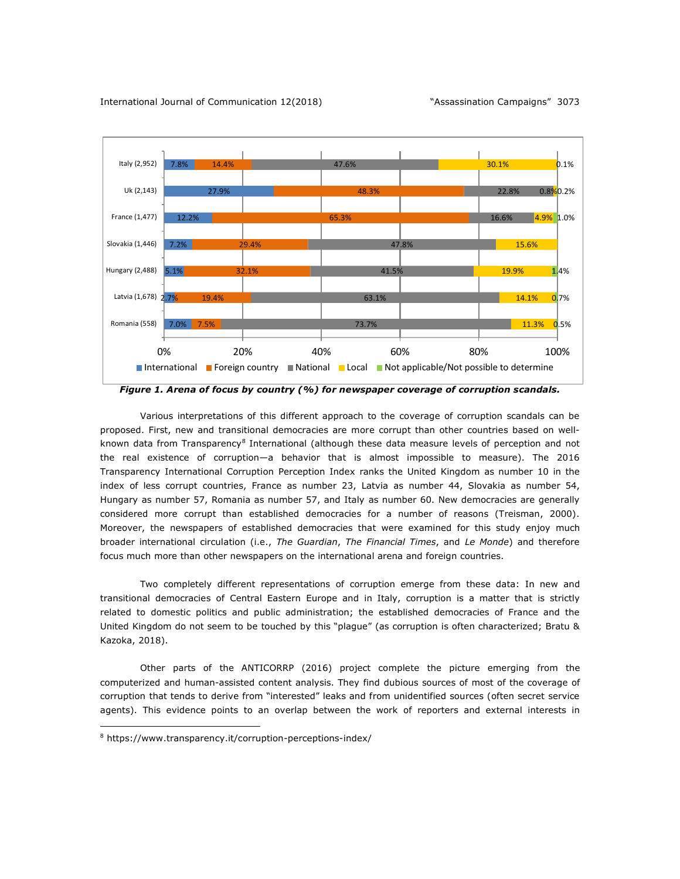

*Figure 1. Arena of focus by country (%) for newspaper coverage of corruption scandals.*

Various interpretations of this different approach to the coverage of corruption scandals can be proposed. First, new and transitional democracies are more corrupt than other countries based on wellknown data from Transparency<sup>8</sup> International (although these data measure levels of perception and not the real existence of corruption—a behavior that is almost impossible to measure). The 2016 Transparency International Corruption Perception Index ranks the United Kingdom as number 10 in the index of less corrupt countries, France as number 23, Latvia as number 44, Slovakia as number 54, Hungary as number 57, Romania as number 57, and Italy as number 60. New democracies are generally considered more corrupt than established democracies for a number of reasons (Treisman, 2000). Moreover, the newspapers of established democracies that were examined for this study enjoy much broader international circulation (i.e., *The Guardian*, *The Financial Times*, and *Le Monde*) and therefore focus much more than other newspapers on the international arena and foreign countries.

Two completely different representations of corruption emerge from these data: In new and transitional democracies of Central Eastern Europe and in Italy, corruption is a matter that is strictly related to domestic politics and public administration; the established democracies of France and the United Kingdom do not seem to be touched by this "plague" (as corruption is often characterized; Bratu & Kazoka, 2018).

Other parts of the ANTICORRP (2016) project complete the picture emerging from the computerized and human-assisted content analysis. They find dubious sources of most of the coverage of corruption that tends to derive from "interested" leaks and from unidentified sources (often secret service agents). This evidence points to an overlap between the work of reporters and external interests in

<u>.</u>

<sup>8</sup> https://www.transparency.it/corruption-perceptions-index/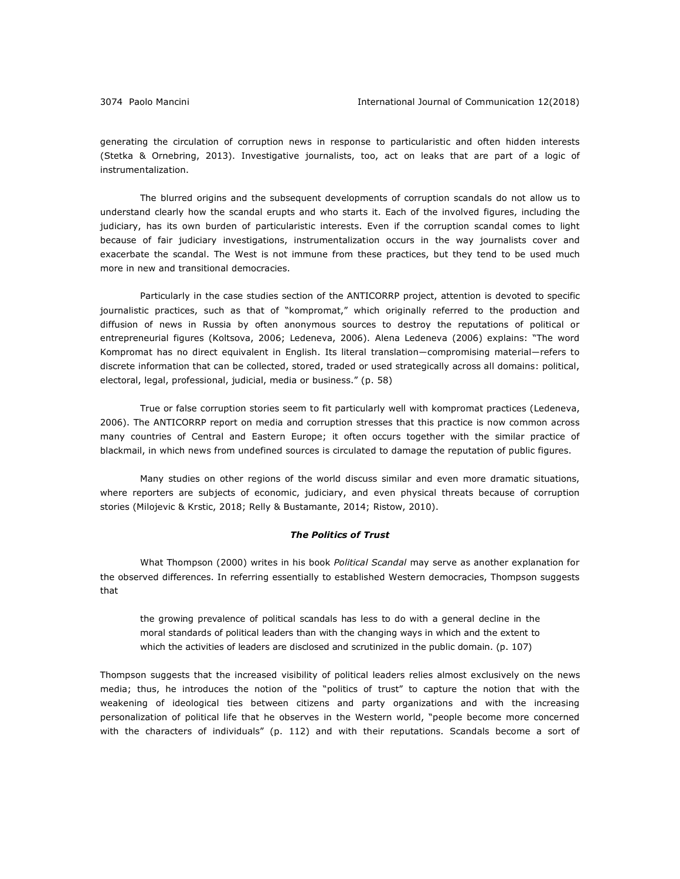generating the circulation of corruption news in response to particularistic and often hidden interests (Stetka & Ornebring, 2013). Investigative journalists, too, act on leaks that are part of a logic of instrumentalization.

The blurred origins and the subsequent developments of corruption scandals do not allow us to understand clearly how the scandal erupts and who starts it. Each of the involved figures, including the judiciary, has its own burden of particularistic interests. Even if the corruption scandal comes to light because of fair judiciary investigations, instrumentalization occurs in the way journalists cover and exacerbate the scandal. The West is not immune from these practices, but they tend to be used much more in new and transitional democracies.

Particularly in the case studies section of the ANTICORRP project, attention is devoted to specific journalistic practices, such as that of "kompromat," which originally referred to the production and diffusion of news in Russia by often anonymous sources to destroy the reputations of political or entrepreneurial figures (Koltsova, 2006; Ledeneva, 2006). Alena Ledeneva (2006) explains: "The word Kompromat has no direct equivalent in English. Its literal translation―compromising material―refers to discrete information that can be collected, stored, traded or used strategically across all domains: political, electoral, legal, professional, judicial, media or business." (p. 58)

True or false corruption stories seem to fit particularly well with kompromat practices (Ledeneva, 2006). The ANTICORRP report on media and corruption stresses that this practice is now common across many countries of Central and Eastern Europe; it often occurs together with the similar practice of blackmail, in which news from undefined sources is circulated to damage the reputation of public figures.

Many studies on other regions of the world discuss similar and even more dramatic situations, where reporters are subjects of economic, judiciary, and even physical threats because of corruption stories (Milojevic & Krstic, 2018; Relly & Bustamante, 2014; Ristow, 2010).

#### *The Politics of Trust*

What Thompson (2000) writes in his book *Political Scandal* may serve as another explanation for the observed differences. In referring essentially to established Western democracies, Thompson suggests that

the growing prevalence of political scandals has less to do with a general decline in the moral standards of political leaders than with the changing ways in which and the extent to which the activities of leaders are disclosed and scrutinized in the public domain. (p. 107)

Thompson suggests that the increased visibility of political leaders relies almost exclusively on the news media; thus, he introduces the notion of the "politics of trust" to capture the notion that with the weakening of ideological ties between citizens and party organizations and with the increasing personalization of political life that he observes in the Western world, "people become more concerned with the characters of individuals" (p. 112) and with their reputations. Scandals become a sort of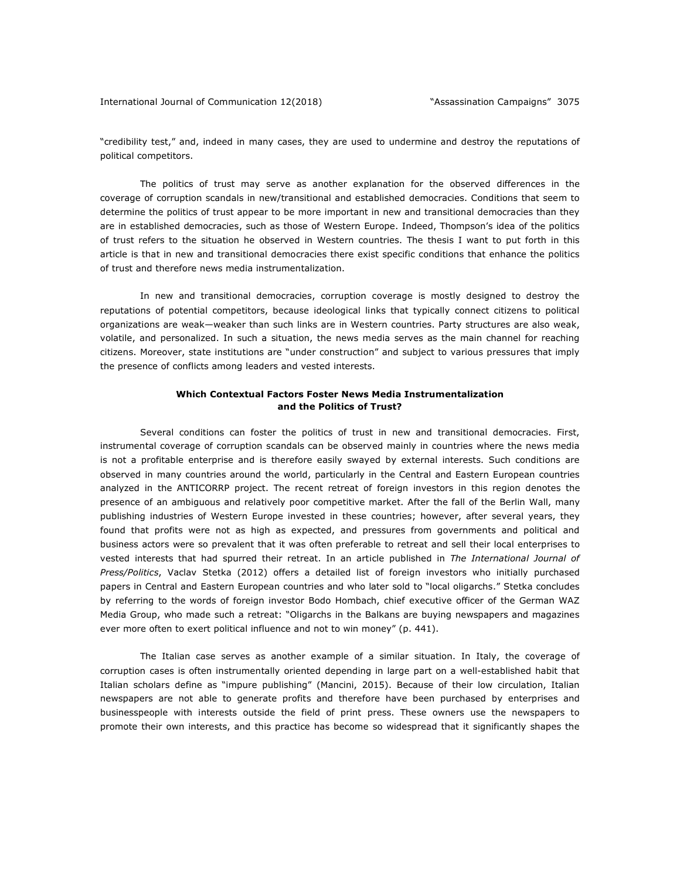"credibility test," and, indeed in many cases, they are used to undermine and destroy the reputations of political competitors.

The politics of trust may serve as another explanation for the observed differences in the coverage of corruption scandals in new/transitional and established democracies. Conditions that seem to determine the politics of trust appear to be more important in new and transitional democracies than they are in established democracies, such as those of Western Europe. Indeed, Thompson's idea of the politics of trust refers to the situation he observed in Western countries. The thesis I want to put forth in this article is that in new and transitional democracies there exist specific conditions that enhance the politics of trust and therefore news media instrumentalization.

In new and transitional democracies, corruption coverage is mostly designed to destroy the reputations of potential competitors, because ideological links that typically connect citizens to political organizations are weak—weaker than such links are in Western countries. Party structures are also weak, volatile, and personalized. In such a situation, the news media serves as the main channel for reaching citizens. Moreover, state institutions are "under construction" and subject to various pressures that imply the presence of conflicts among leaders and vested interests.

## **Which Contextual Factors Foster News Media Instrumentalization and the Politics of Trust?**

Several conditions can foster the politics of trust in new and transitional democracies. First, instrumental coverage of corruption scandals can be observed mainly in countries where the news media is not a profitable enterprise and is therefore easily swayed by external interests. Such conditions are observed in many countries around the world, particularly in the Central and Eastern European countries analyzed in the ANTICORRP project. The recent retreat of foreign investors in this region denotes the presence of an ambiguous and relatively poor competitive market. After the fall of the Berlin Wall, many publishing industries of Western Europe invested in these countries; however, after several years, they found that profits were not as high as expected, and pressures from governments and political and business actors were so prevalent that it was often preferable to retreat and sell their local enterprises to vested interests that had spurred their retreat. In an article published in *The International Journal of Press/Politics*, Vaclav Stetka (2012) offers a detailed list of foreign investors who initially purchased papers in Central and Eastern European countries and who later sold to "local oligarchs." Stetka concludes by referring to the words of foreign investor Bodo Hombach, chief executive officer of the German WAZ Media Group, who made such a retreat: "Oligarchs in the Balkans are buying newspapers and magazines ever more often to exert political influence and not to win money" (p. 441).

The Italian case serves as another example of a similar situation. In Italy, the coverage of corruption cases is often instrumentally oriented depending in large part on a well-established habit that Italian scholars define as "impure publishing" (Mancini, 2015). Because of their low circulation, Italian newspapers are not able to generate profits and therefore have been purchased by enterprises and businesspeople with interests outside the field of print press. These owners use the newspapers to promote their own interests, and this practice has become so widespread that it significantly shapes the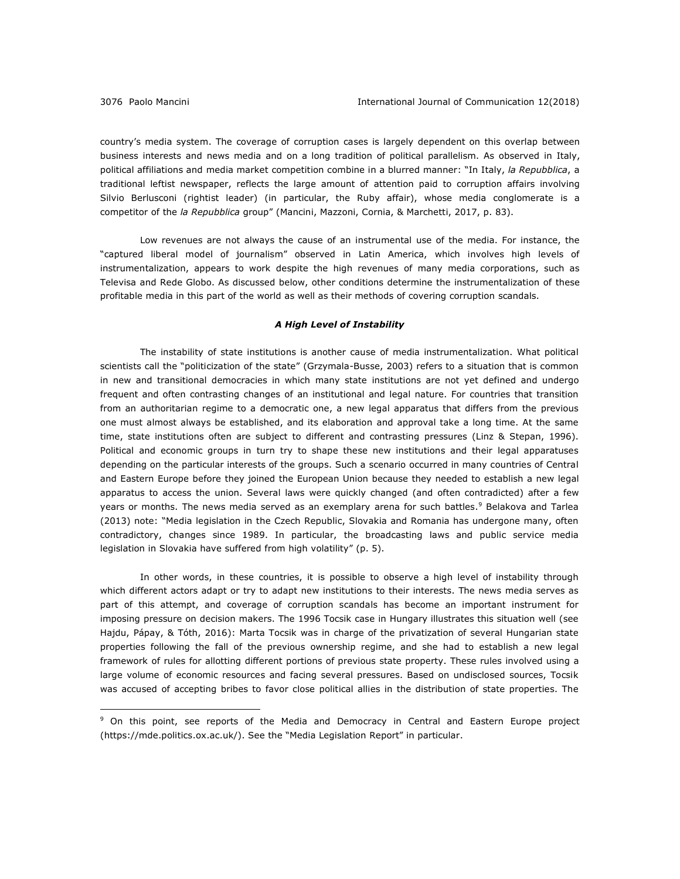country's media system. The coverage of corruption cases is largely dependent on this overlap between business interests and news media and on a long tradition of political parallelism. As observed in Italy, political affiliations and media market competition combine in a blurred manner: "In Italy, *la Repubblica*, a traditional leftist newspaper, reflects the large amount of attention paid to corruption affairs involving Silvio Berlusconi (rightist leader) (in particular, the Ruby affair), whose media conglomerate is a competitor of the *la Repubblica* group" (Mancini, Mazzoni, Cornia, & Marchetti, 2017, p. 83).

Low revenues are not always the cause of an instrumental use of the media. For instance, the "captured liberal model of journalism" observed in Latin America, which involves high levels of instrumentalization, appears to work despite the high revenues of many media corporations, such as Televisa and Rede Globo. As discussed below, other conditions determine the instrumentalization of these profitable media in this part of the world as well as their methods of covering corruption scandals.

#### *A High Level of Instability*

The instability of state institutions is another cause of media instrumentalization. What political scientists call the "politicization of the state" (Grzymala-Busse, 2003) refers to a situation that is common in new and transitional democracies in which many state institutions are not yet defined and undergo frequent and often contrasting changes of an institutional and legal nature. For countries that transition from an authoritarian regime to a democratic one, a new legal apparatus that differs from the previous one must almost always be established, and its elaboration and approval take a long time. At the same time, state institutions often are subject to different and contrasting pressures (Linz & Stepan, 1996). Political and economic groups in turn try to shape these new institutions and their legal apparatuses depending on the particular interests of the groups. Such a scenario occurred in many countries of Central and Eastern Europe before they joined the European Union because they needed to establish a new legal apparatus to access the union. Several laws were quickly changed (and often contradicted) after a few years or months. The news media served as an exemplary arena for such battles.<sup>9</sup> Belakova and Tarlea (2013) note: "Media legislation in the Czech Republic, Slovakia and Romania has undergone many, often contradictory, changes since 1989. In particular, the broadcasting laws and public service media legislation in Slovakia have suffered from high volatility" (p. 5).

In other words, in these countries, it is possible to observe a high level of instability through which different actors adapt or try to adapt new institutions to their interests. The news media serves as part of this attempt, and coverage of corruption scandals has become an important instrument for imposing pressure on decision makers. The 1996 Tocsik case in Hungary illustrates this situation well (see Hajdu, Pápay, & Tóth, 2016): Marta Tocsik was in charge of the privatization of several Hungarian state properties following the fall of the previous ownership regime, and she had to establish a new legal framework of rules for allotting different portions of previous state property. These rules involved using a large volume of economic resources and facing several pressures. Based on undisclosed sources, Tocsik was accused of accepting bribes to favor close political allies in the distribution of state properties. The

<sup>9</sup> On this point, see reports of the Media and Democracy in Central and Eastern Europe project (https://mde.politics.ox.ac.uk/). See the "Media Legislation Report" in particular.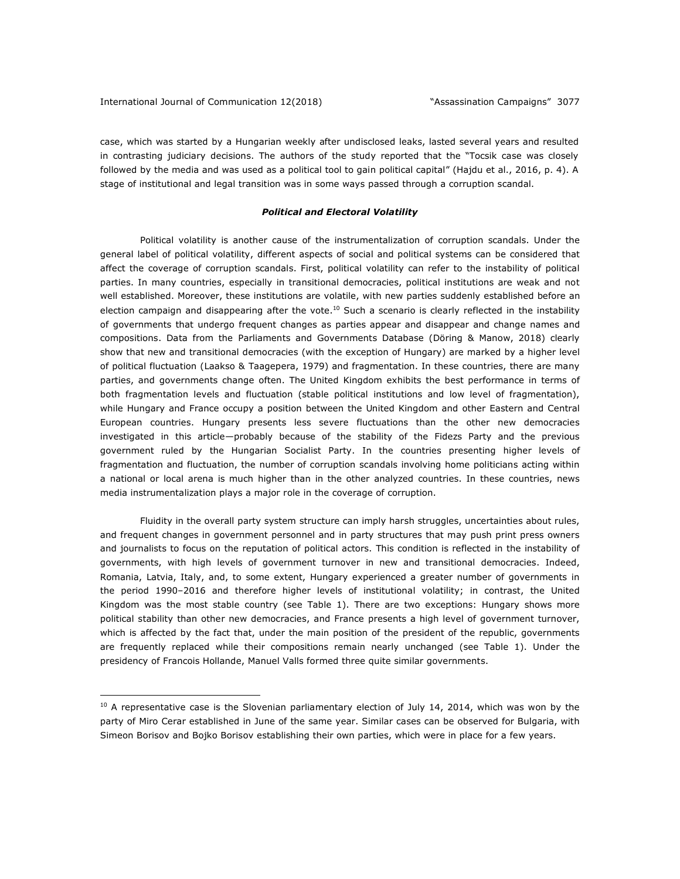<u>.</u>

case, which was started by a Hungarian weekly after undisclosed leaks, lasted several years and resulted in contrasting judiciary decisions. The authors of the study reported that the "Tocsik case was closely followed by the media and was used as a political tool to gain political capital" (Hajdu et al., 2016, p. 4). A stage of institutional and legal transition was in some ways passed through a corruption scandal.

#### *Political and Electoral Volatility*

Political volatility is another cause of the instrumentalization of corruption scandals. Under the general label of political volatility, different aspects of social and political systems can be considered that affect the coverage of corruption scandals. First, political volatility can refer to the instability of political parties. In many countries, especially in transitional democracies, political institutions are weak and not well established. Moreover, these institutions are volatile, with new parties suddenly established before an election campaign and disappearing after the vote.<sup>10</sup> Such a scenario is clearly reflected in the instability of governments that undergo frequent changes as parties appear and disappear and change names and compositions. Data from the Parliaments and Governments Database (Döring & Manow, 2018) clearly show that new and transitional democracies (with the exception of Hungary) are marked by a higher level of political fluctuation (Laakso & Taagepera, 1979) and fragmentation. In these countries, there are many parties, and governments change often. The United Kingdom exhibits the best performance in terms of both fragmentation levels and fluctuation (stable political institutions and low level of fragmentation), while Hungary and France occupy a position between the United Kingdom and other Eastern and Central European countries. Hungary presents less severe fluctuations than the other new democracies investigated in this article—probably because of the stability of the Fidezs Party and the previous government ruled by the Hungarian Socialist Party. In the countries presenting higher levels of fragmentation and fluctuation, the number of corruption scandals involving home politicians acting within a national or local arena is much higher than in the other analyzed countries. In these countries, news media instrumentalization plays a major role in the coverage of corruption.

Fluidity in the overall party system structure can imply harsh struggles, uncertainties about rules, and frequent changes in government personnel and in party structures that may push print press owners and journalists to focus on the reputation of political actors. This condition is reflected in the instability of governments, with high levels of government turnover in new and transitional democracies. Indeed, Romania, Latvia, Italy, and, to some extent, Hungary experienced a greater number of governments in the period 1990–2016 and therefore higher levels of institutional volatility; in contrast, the United Kingdom was the most stable country (see Table 1). There are two exceptions: Hungary shows more political stability than other new democracies, and France presents a high level of government turnover, which is affected by the fact that, under the main position of the president of the republic, governments are frequently replaced while their compositions remain nearly unchanged (see Table 1). Under the presidency of Francois Hollande, Manuel Valls formed three quite similar governments.

 $10$  A representative case is the Slovenian parliamentary election of July 14, 2014, which was won by the party of Miro Cerar established in June of the same year. Similar cases can be observed for Bulgaria, with Simeon Borisov and Bojko Borisov establishing their own parties, which were in place for a few years.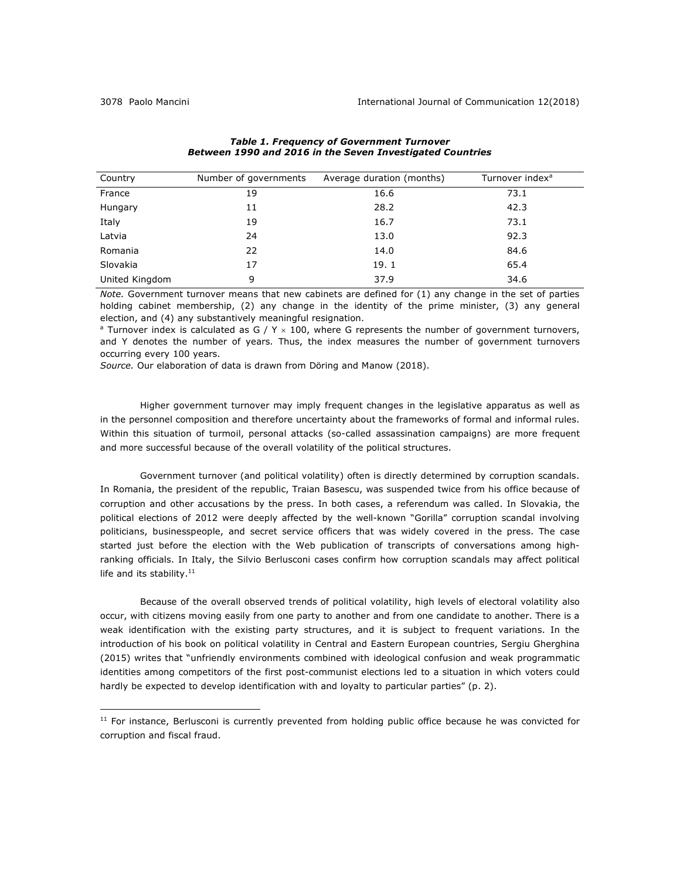| Country        | Number of governments | Average duration (months) | Turnover index <sup>a</sup> |
|----------------|-----------------------|---------------------------|-----------------------------|
| France         | 19                    | 16.6                      | 73.1                        |
| Hungary        | 11                    | 28.2                      | 42.3                        |
| Italy          | 19                    | 16.7                      | 73.1                        |
| Latvia         | 24                    | 13.0                      | 92.3                        |
| Romania        | 22                    | 14.0                      | 84.6                        |
| Slovakia       | 17                    | 19.1                      | 65.4                        |
| United Kingdom | 9                     | 37.9                      | 34.6                        |

## *Table 1. Frequency of Government Turnover Between 1990 and 2016 in the Seven Investigated Countries*

*Note.* Government turnover means that new cabinets are defined for (1) any change in the set of parties holding cabinet membership, (2) any change in the identity of the prime minister, (3) any general election, and (4) any substantively meaningful resignation.

<sup>a</sup> Turnover index is calculated as G / Y  $\times$  100, where G represents the number of government turnovers, and Y denotes the number of years. Thus, the index measures the number of government turnovers occurring every 100 years.

*Source.* Our elaboration of data is drawn from Döring and Manow (2018).

Higher government turnover may imply frequent changes in the legislative apparatus as well as in the personnel composition and therefore uncertainty about the frameworks of formal and informal rules. Within this situation of turmoil, personal attacks (so-called assassination campaigns) are more frequent and more successful because of the overall volatility of the political structures.

Government turnover (and political volatility) often is directly determined by corruption scandals. In Romania, the president of the republic, Traian Basescu, was suspended twice from his office because of corruption and other accusations by the press. In both cases, a referendum was called. In Slovakia, the political elections of 2012 were deeply affected by the well-known "Gorilla" corruption scandal involving politicians, businesspeople, and secret service officers that was widely covered in the press. The case started just before the election with the Web publication of transcripts of conversations among highranking officials. In Italy, the Silvio Berlusconi cases confirm how corruption scandals may affect political life and its stability. $11$ 

Because of the overall observed trends of political volatility, high levels of electoral volatility also occur, with citizens moving easily from one party to another and from one candidate to another. There is a weak identification with the existing party structures, and it is subject to frequent variations. In the introduction of his book on political volatility in Central and Eastern European countries, Sergiu Gherghina (2015) writes that "unfriendly environments combined with ideological confusion and weak programmatic identities among competitors of the first post-communist elections led to a situation in which voters could hardly be expected to develop identification with and loyalty to particular parties" (p. 2).

 $11$  For instance, Berlusconi is currently prevented from holding public office because he was convicted for corruption and fiscal fraud.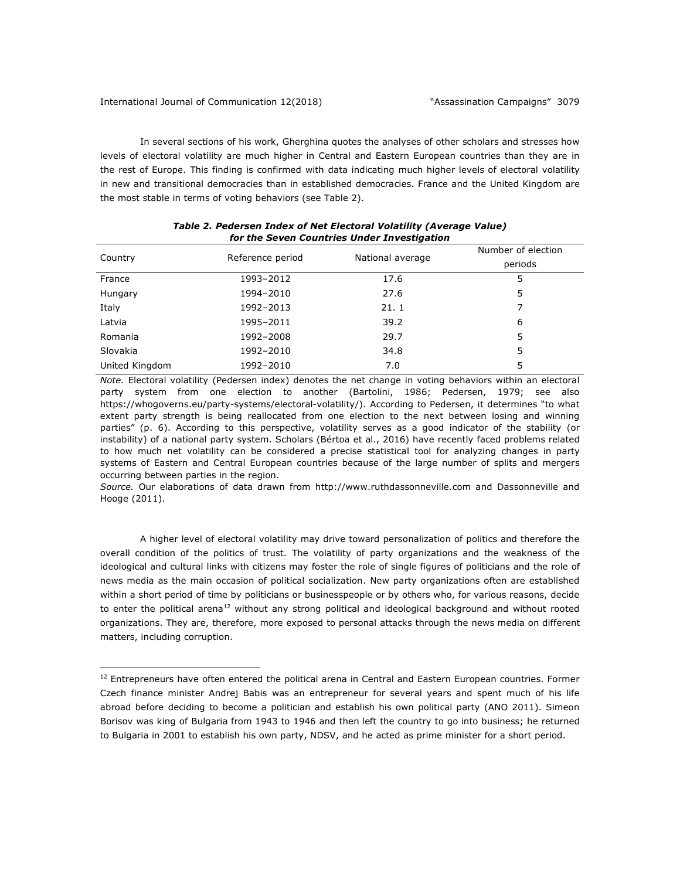In several sections of his work, Gherghina quotes the analyses of other scholars and stresses how levels of electoral volatility are much higher in Central and Eastern European countries than they are in the rest of Europe. This finding is confirmed with data indicating much higher levels of electoral volatility in new and transitional democracies than in established democracies. France and the United Kingdom are the most stable in terms of voting behaviors (see Table 2).

| ior are beven countries onder investigation |                  |                  |                    |  |  |
|---------------------------------------------|------------------|------------------|--------------------|--|--|
| Country                                     | Reference period | National average | Number of election |  |  |
|                                             |                  |                  | periods            |  |  |
| France                                      | 1993-2012        | 17.6             | 5                  |  |  |
| Hungary                                     | 1994-2010        | 27.6             | 5                  |  |  |
| Italy                                       | 1992-2013        | 21.1             |                    |  |  |
| Latvia                                      | 1995-2011        | 39.2             | 6                  |  |  |
| Romania                                     | 1992-2008        | 29.7             | 5                  |  |  |
| Slovakia                                    | 1992-2010        | 34.8             | 5                  |  |  |
| United Kingdom                              | 1992-2010        | 7.0              | 5                  |  |  |
|                                             |                  |                  |                    |  |  |

| Table 2. Pedersen Index of Net Electoral Volatility (Average Value) |  |
|---------------------------------------------------------------------|--|
| for the Seven Countries Under Investigation                         |  |

*Note.* Electoral volatility (Pedersen index) denotes the net change in voting behaviors within an electoral party system from one election to another (Bartolini, 1986; Pedersen, 1979; see also https://whogoverns.eu/party-systems/electoral-volatility/). According to Pedersen, it determines "to what extent party strength is being reallocated from one election to the next between losing and winning parties" (p. 6). According to this perspective, volatility serves as a good indicator of the stability (or instability) of a national party system. Scholars (Bértoa et al., 2016) have recently faced problems related to how much net volatility can be considered a precise statistical tool for analyzing changes in party systems of Eastern and Central European countries because of the large number of splits and mergers occurring between parties in the region.

*Source.* Our elaborations of data drawn from http://www.ruthdassonneville.com and Dassonneville and Hooge (2011).

A higher level of electoral volatility may drive toward personalization of politics and therefore the overall condition of the politics of trust. The volatility of party organizations and the weakness of the ideological and cultural links with citizens may foster the role of single figures of politicians and the role of news media as the main occasion of political socialization. New party organizations often are established within a short period of time by politicians or businesspeople or by others who, for various reasons, decide to enter the political arena<sup>12</sup> without any strong political and ideological background and without rooted organizations. They are, therefore, more exposed to personal attacks through the news media on different matters, including corruption.

<sup>&</sup>lt;sup>12</sup> Entrepreneurs have often entered the political arena in Central and Eastern European countries. Former Czech finance minister Andrej Babis was an entrepreneur for several years and spent much of his life abroad before deciding to become a politician and establish his own political party (ANO 2011). Simeon Borisov was king of Bulgaria from 1943 to 1946 and then left the country to go into business; he returned to Bulgaria in 2001 to establish his own party, NDSV, and he acted as prime minister for a short period.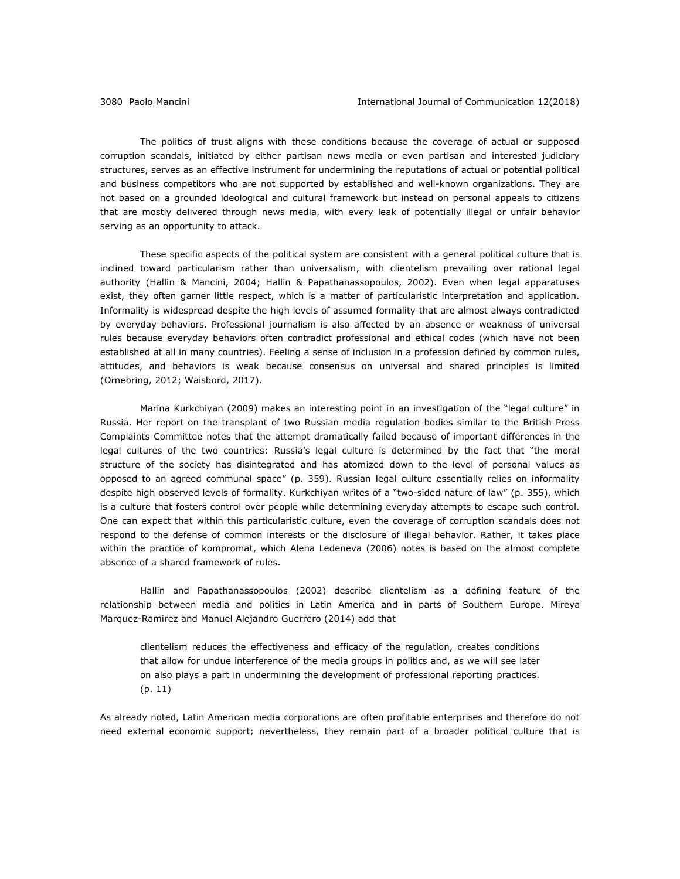The politics of trust aligns with these conditions because the coverage of actual or supposed corruption scandals, initiated by either partisan news media or even partisan and interested judiciary structures, serves as an effective instrument for undermining the reputations of actual or potential political and business competitors who are not supported by established and well-known organizations. They are not based on a grounded ideological and cultural framework but instead on personal appeals to citizens that are mostly delivered through news media, with every leak of potentially illegal or unfair behavior serving as an opportunity to attack.

These specific aspects of the political system are consistent with a general political culture that is inclined toward particularism rather than universalism, with clientelism prevailing over rational legal authority (Hallin & Mancini, 2004; Hallin & Papathanassopoulos, 2002). Even when legal apparatuses exist, they often garner little respect, which is a matter of particularistic interpretation and application. Informality is widespread despite the high levels of assumed formality that are almost always contradicted by everyday behaviors. Professional journalism is also affected by an absence or weakness of universal rules because everyday behaviors often contradict professional and ethical codes (which have not been established at all in many countries). Feeling a sense of inclusion in a profession defined by common rules, attitudes, and behaviors is weak because consensus on universal and shared principles is limited (Ornebring, 2012; Waisbord, 2017).

Marina Kurkchiyan (2009) makes an interesting point in an investigation of the "legal culture" in Russia. Her report on the transplant of two Russian media regulation bodies similar to the British Press Complaints Committee notes that the attempt dramatically failed because of important differences in the legal cultures of the two countries: Russia's legal culture is determined by the fact that "the moral structure of the society has disintegrated and has atomized down to the level of personal values as opposed to an agreed communal space" (p. 359). Russian legal culture essentially relies on informality despite high observed levels of formality. Kurkchiyan writes of a "two-sided nature of law" (p. 355), which is a culture that fosters control over people while determining everyday attempts to escape such control. One can expect that within this particularistic culture, even the coverage of corruption scandals does not respond to the defense of common interests or the disclosure of illegal behavior. Rather, it takes place within the practice of kompromat, which Alena Ledeneva (2006) notes is based on the almost complete absence of a shared framework of rules.

Hallin and Papathanassopoulos (2002) describe clientelism as a defining feature of the relationship between media and politics in Latin America and in parts of Southern Europe. Mireya Marquez-Ramirez and Manuel Alejandro Guerrero (2014) add that

clientelism reduces the effectiveness and efficacy of the regulation, creates conditions that allow for undue interference of the media groups in politics and, as we will see later on also plays a part in undermining the development of professional reporting practices. (p. 11)

As already noted, Latin American media corporations are often profitable enterprises and therefore do not need external economic support; nevertheless, they remain part of a broader political culture that is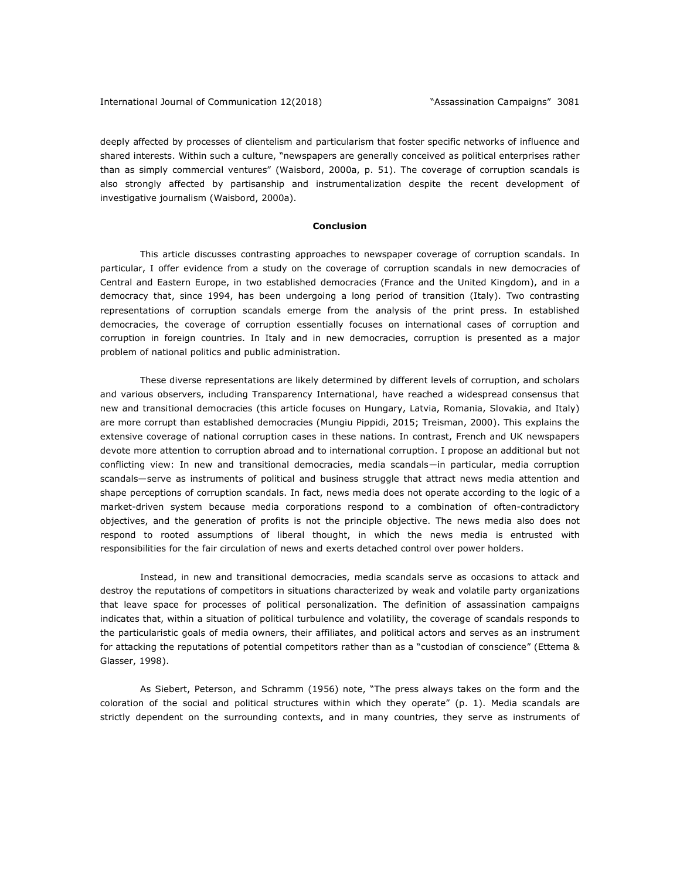deeply affected by processes of clientelism and particularism that foster specific networks of influence and shared interests. Within such a culture, "newspapers are generally conceived as political enterprises rather than as simply commercial ventures" (Waisbord, 2000a, p. 51). The coverage of corruption scandals is also strongly affected by partisanship and instrumentalization despite the recent development of investigative journalism (Waisbord, 2000a).

## **Conclusion**

This article discusses contrasting approaches to newspaper coverage of corruption scandals. In particular, I offer evidence from a study on the coverage of corruption scandals in new democracies of Central and Eastern Europe, in two established democracies (France and the United Kingdom), and in a democracy that, since 1994, has been undergoing a long period of transition (Italy). Two contrasting representations of corruption scandals emerge from the analysis of the print press. In established democracies, the coverage of corruption essentially focuses on international cases of corruption and corruption in foreign countries. In Italy and in new democracies, corruption is presented as a major problem of national politics and public administration.

These diverse representations are likely determined by different levels of corruption, and scholars and various observers, including Transparency International, have reached a widespread consensus that new and transitional democracies (this article focuses on Hungary, Latvia, Romania, Slovakia, and Italy) are more corrupt than established democracies (Mungiu Pippidi, 2015; Treisman, 2000). This explains the extensive coverage of national corruption cases in these nations. In contrast, French and UK newspapers devote more attention to corruption abroad and to international corruption. I propose an additional but not conflicting view: In new and transitional democracies, media scandals―in particular, media corruption scandals—serve as instruments of political and business struggle that attract news media attention and shape perceptions of corruption scandals. In fact, news media does not operate according to the logic of a market-driven system because media corporations respond to a combination of often-contradictory objectives, and the generation of profits is not the principle objective. The news media also does not respond to rooted assumptions of liberal thought, in which the news media is entrusted with responsibilities for the fair circulation of news and exerts detached control over power holders.

Instead, in new and transitional democracies, media scandals serve as occasions to attack and destroy the reputations of competitors in situations characterized by weak and volatile party organizations that leave space for processes of political personalization. The definition of assassination campaigns indicates that, within a situation of political turbulence and volatility, the coverage of scandals responds to the particularistic goals of media owners, their affiliates, and political actors and serves as an instrument for attacking the reputations of potential competitors rather than as a "custodian of conscience" (Ettema & Glasser, 1998).

As Siebert, Peterson, and Schramm (1956) note, "The press always takes on the form and the coloration of the social and political structures within which they operate" (p. 1). Media scandals are strictly dependent on the surrounding contexts, and in many countries, they serve as instruments of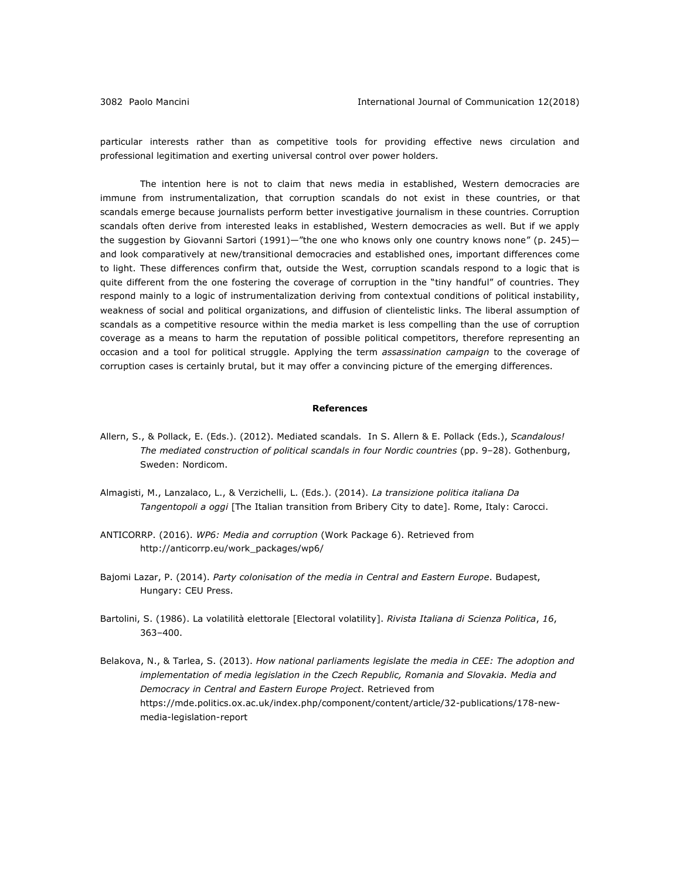particular interests rather than as competitive tools for providing effective news circulation and professional legitimation and exerting universal control over power holders.

The intention here is not to claim that news media in established, Western democracies are immune from instrumentalization, that corruption scandals do not exist in these countries, or that scandals emerge because journalists perform better investigative journalism in these countries. Corruption scandals often derive from interested leaks in established, Western democracies as well. But if we apply the suggestion by Giovanni Sartori (1991)—"the one who knows only one country knows none" (p. 245) and look comparatively at new/transitional democracies and established ones, important differences come to light. These differences confirm that, outside the West, corruption scandals respond to a logic that is quite different from the one fostering the coverage of corruption in the "tiny handful" of countries. They respond mainly to a logic of instrumentalization deriving from contextual conditions of political instability, weakness of social and political organizations, and diffusion of clientelistic links. The liberal assumption of scandals as a competitive resource within the media market is less compelling than the use of corruption coverage as a means to harm the reputation of possible political competitors, therefore representing an occasion and a tool for political struggle. Applying the term *assassination campaign* to the coverage of corruption cases is certainly brutal, but it may offer a convincing picture of the emerging differences.

#### **References**

- Allern, S., & Pollack, E. (Eds.). (2012). Mediated scandals. In S. Allern & E. Pollack (Eds.), *Scandalous! The mediated construction of political scandals in four Nordic countries* (pp. 9‒28). Gothenburg, Sweden: Nordicom.
- Almagisti, M., Lanzalaco, L., & Verzichelli, L. (Eds.). (2014). *La transizione politica italiana Da Tangentopoli a oggi* [The Italian transition from Bribery City to date]. Rome, Italy: Carocci.
- ANTICORRP. (2016). *WP6: Media and corruption* (Work Package 6). Retrieved from http://anticorrp.eu/work\_packages/wp6/
- Bajomi Lazar, P. (2014). *Party colonisation of the media in Central and Eastern Europe*. Budapest, Hungary: CEU Press.
- Bartolini, S. (1986). La volatilità elettorale [Electoral volatility]. *Rivista Italiana di Scienza Politica*, *16*, 363–400.
- Belakova, N., & Tarlea, S. (2013). *How national parliaments legislate the media in CEE: The adoption and implementation of media legislation in the Czech Republic, Romania and Slovakia. Media and Democracy in Central and Eastern Europe Project*. Retrieved from https://mde.politics.ox.ac.uk/index.php/component/content/article/32-publications/178-newmedia-legislation-report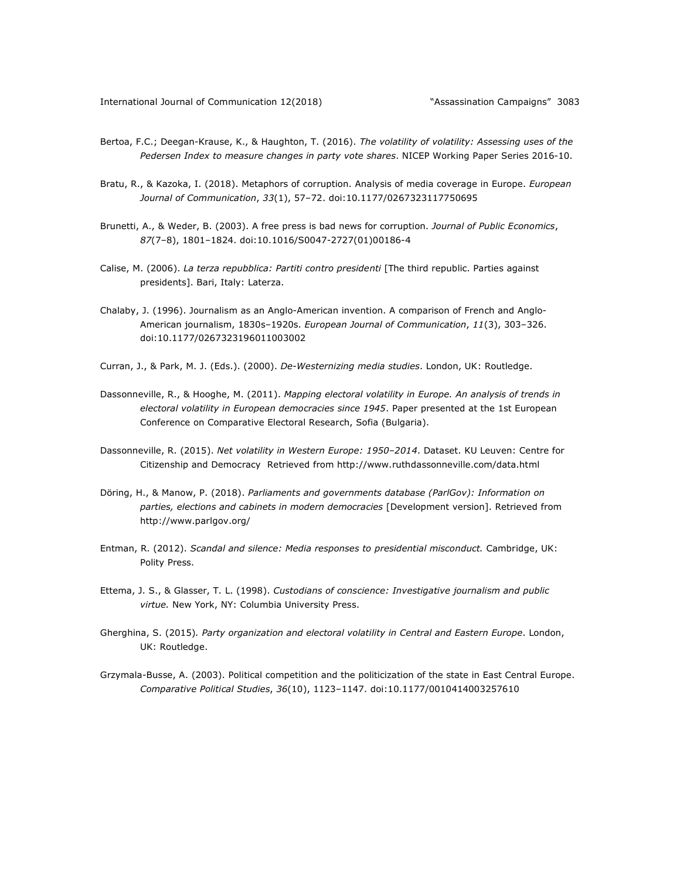- Bertoa, F.C.; Deegan-Krause, K., & Haughton, T. (2016). *The volatility of volatility: Assessing uses of the Pedersen Index to measure changes in party vote shares*. NICEP Working Paper Series 2016-10.
- Bratu, R., & Kazoka, I. (2018). Metaphors of corruption. Analysis of media coverage in Europe. *European Journal of Communication*, *33*(1), 57‒72. doi:10.1177/0267323117750695
- Brunetti, A., & Weder, B. (2003). A free press is bad news for corruption. *Journal of Public Economics*, *87*(7‒8), 1801‒1824. doi:10.1016/S0047-2727(01)00186-4
- Calise, M. (2006). *La terza repubblica: Partiti contro presidenti* [The third republic. Parties against presidents]. Bari, Italy: Laterza.
- Chalaby, J. (1996). Journalism as an Anglo-American invention. A comparison of French and Anglo-American journalism, 1830s–1920s. *European Journal of Communication*, *11*(3), 303–326. doi:10.1177/0267323196011003002
- Curran, J., & Park, M. J. (Eds.). (2000). *De-Westernizing media studies*. London, UK: Routledge.
- Dassonneville, R., & Hooghe, M. (2011). *Mapping electoral volatility in Europe. An analysis of trends in electoral volatility in European democracies since 1945*. Paper presented at the 1st European Conference on Comparative Electoral Research, Sofia (Bulgaria).
- Dassonneville, R. (2015). *Net volatility in Western Europe: 1950–2014*. Dataset. KU Leuven: Centre for Citizenship and Democracy Retrieved from http://www.ruthdassonneville.com/data.html
- Döring, H., & Manow, P. (2018). *Parliaments and governments database (ParlGov): Information on parties, elections and cabinets in modern democracies* [Development version]. Retrieved from http://www.parlgov.org/
- Entman, R. (2012). *Scandal and silence: Media responses to presidential misconduct.* Cambridge, UK: Polity Press.
- Ettema, J. S., & Glasser, T. L. (1998). *Custodians of conscience: Investigative journalism and public virtue.* New York, NY: Columbia University Press.
- Gherghina, S. (2015)*. Party organization and electoral volatility in Central and Eastern Europe*. London, UK: Routledge.
- Grzymala-Busse, A. (2003). Political competition and the politicization of the state in East Central Europe. *Comparative Political Studies*, *36*(10), 1123–1147. doi:10.1177/0010414003257610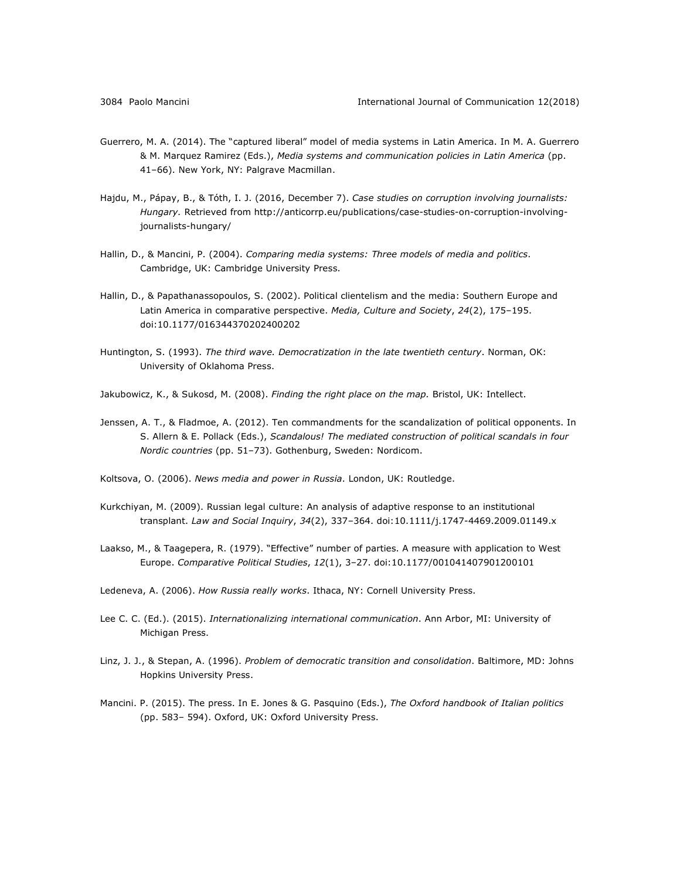- Guerrero, M. A. (2014). The "captured liberal" model of media systems in Latin America. In M. A. Guerrero & M. Marquez Ramirez (Eds.), *Media systems and communication policies in Latin America* (pp. 41–66). New York, NY: Palgrave Macmillan.
- Hajdu, M., Pápay, B., & Tóth, I. J. (2016, December 7). *Case studies on corruption involving journalists: Hungary.* Retrieved from http://anticorrp.eu/publications/case-studies-on-corruption-involvingjournalists-hungary/
- Hallin, D., & Mancini, P. (2004). *Comparing media systems: Three models of media and politics*. Cambridge, UK: Cambridge University Press.
- Hallin, D., & Papathanassopoulos, S. (2002). Political clientelism and the media: Southern Europe and Latin America in comparative perspective. *Media, Culture and Society*, *24*(2), 175–195. doi:10.1177/016344370202400202
- Huntington, S. (1993). *The third wave. Democratization in the late twentieth century*. Norman, OK: University of Oklahoma Press.
- Jakubowicz, K., & Sukosd, M. (2008). *Finding the right place on the map.* Bristol, UK: Intellect.
- Jenssen, A. T., & Fladmoe, A. (2012). Ten commandments for the scandalization of political opponents. In S. Allern & E. Pollack (Eds.), *Scandalous! The mediated construction of political scandals in four Nordic countries* (pp. 51-73). Gothenburg, Sweden: Nordicom.
- Koltsova, O. (2006). *News media and power in Russia*. London, UK: Routledge.
- Kurkchiyan, M. (2009). Russian legal culture: An analysis of adaptive response to an institutional transplant. *Law and Social Inquiry*, *34*(2), 337–364. doi:10.1111/j.1747-4469.2009.01149.x
- Laakso, M., & Taagepera, R. (1979). "Effective" number of parties. A measure with application to West Europe. *Comparative Political Studies*, *12*(1), 3‒27. doi:10.1177/001041407901200101
- Ledeneva, A. (2006). *How Russia really works*. Ithaca, NY: Cornell University Press.
- Lee C. C. (Ed.). (2015). *Internationalizing international communication*. Ann Arbor, MI: University of Michigan Press.
- Linz, J. J., & Stepan, A. (1996). *Problem of democratic transition and consolidation*. Baltimore, MD: Johns Hopkins University Press.
- Mancini. P. (2015). The press. In E. Jones & G. Pasquino (Eds.), *The Oxford handbook of Italian politics* (pp. 583– 594). Oxford, UK: Oxford University Press.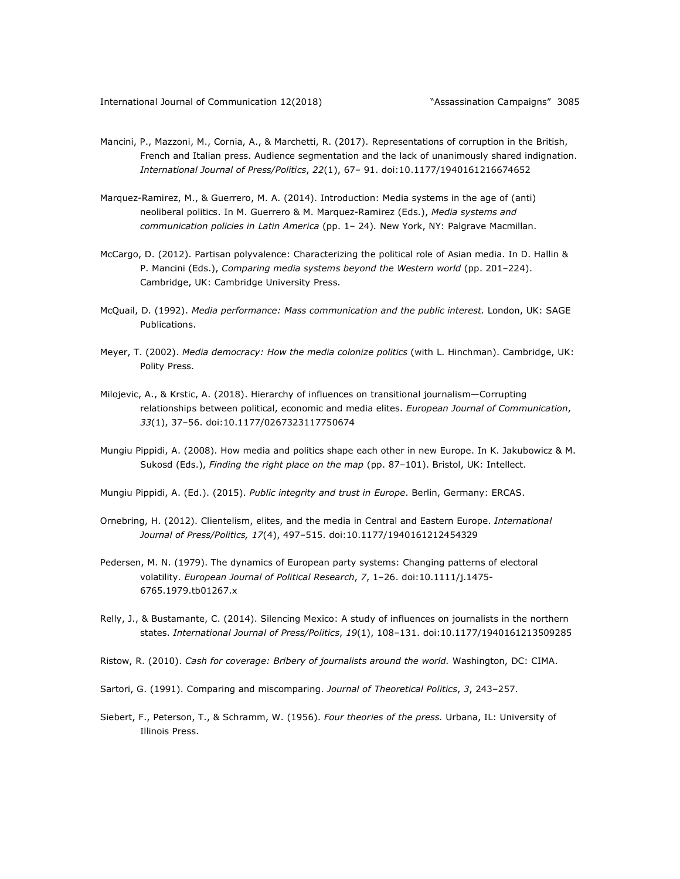- Mancini, P., Mazzoni, M., Cornia, A., & Marchetti, R. (2017). Representations of corruption in the British, French and Italian press. Audience segmentation and the lack of unanimously shared indignation. *International Journal of Press/Politics*, *22*(1), 67– 91. doi:10.1177/1940161216674652
- Marquez-Ramirez, M., & Guerrero, M. A. (2014). Introduction: Media systems in the age of (anti) neoliberal politics. In M. Guerrero & M. Marquez-Ramirez (Eds.), *Media systems and communication policies in Latin America* (pp. 1‒ 24)*.* New York, NY: Palgrave Macmillan.
- McCargo, D. (2012). Partisan polyvalence: Characterizing the political role of Asian media. In D. Hallin & P. Mancini (Eds.), *Comparing media systems beyond the Western world* (pp. 201-224). Cambridge, UK: Cambridge University Press.
- McQuail, D. (1992). *Media performance: Mass communication and the public interest.* London, UK: SAGE Publications.
- Meyer, T. (2002). *Media democracy: How the media colonize politics* (with L. Hinchman). Cambridge, UK: Polity Press.
- Milojevic, A., & Krstic, A. (2018). Hierarchy of influences on transitional journalism—Corrupting relationships between political, economic and media elites. *European Journal of Communication*, *33*(1), 37‒56. doi:10.1177/0267323117750674
- Mungiu Pippidi, A. (2008). How media and politics shape each other in new Europe. In K. Jakubowicz & M. Sukosd (Eds.), *Finding the right place on the map* (pp. 87-101). Bristol, UK: Intellect.
- Mungiu Pippidi, A. (Ed.). (2015). *Public integrity and trust in Europe*. Berlin, Germany: ERCAS.
- Ornebring, H. (2012). Clientelism, elites, and the media in Central and Eastern Europe. *International Journal of Press/Politics, 17*(4), 497–515. doi:10.1177/1940161212454329
- Pedersen, M. N. (1979). The dynamics of European party systems: Changing patterns of electoral volatility. *European Journal of Political Research*, *7*, 1‒26. doi:10.1111/j.1475- 6765.1979.tb01267.x
- Relly, J., & Bustamante, C. (2014). Silencing Mexico: A study of influences on journalists in the northern states. *International Journal of Press/Politics*, *19*(1), 108‒131. doi:10.1177/1940161213509285
- Ristow, R. (2010). *Cash for coverage: Bribery of journalists around the world.* Washington, DC: CIMA.
- Sartori, G. (1991). Comparing and miscomparing. *Journal of Theoretical Politics*, *3*, 243–257.
- Siebert, F., Peterson, T., & Schramm, W. (1956). *Four theories of the press.* Urbana, IL: University of Illinois Press.